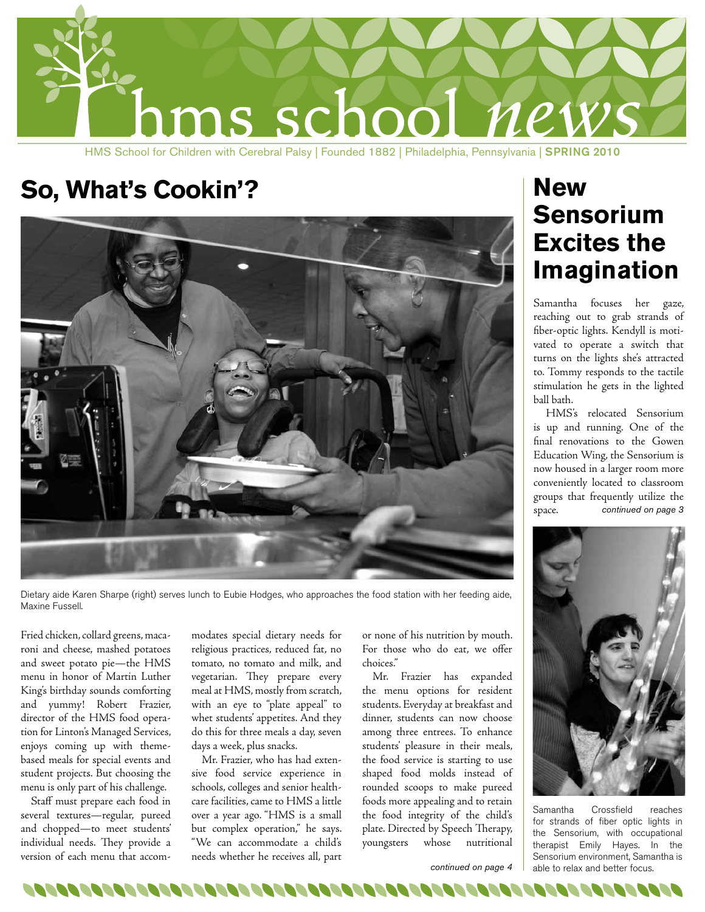

HMS School for Children with Cerebral Palsy | Founded 1882 | Philadelphia, Pennsylvania | SPRING 2010

### So, What's Cookin'? **New**



Dietary aide Karen Sharpe (right) serves lunch to Eubie Hodges, who approaches the food station with her feeding aide, Maxine Fussell.

Fried chicken, collard greens, macaroni and cheese, mashed potatoes and sweet potato pie—the HMS menu in honor of Martin Luther King's birthday sounds comforting and yummy! Robert Frazier, director of the HMS food operation for Linton's Managed Services, enjoys coming up with themebased meals for special events and student projects. But choosing the menu is only part of his challenge.

Staff must prepare each food in several textures—regular, pureed and chopped—to meet students' individual needs. They provide a version of each menu that accommodates special dietary needs for religious practices, reduced fat, no tomato, no tomato and milk, and vegetarian. They prepare every meal at HMS, mostly from scratch, with an eye to "plate appeal" to whet students' appetites. And they do this for three meals a day, seven days a week, plus snacks.

Mr. Frazier, who has had extensive food service experience in schools, colleges and senior healthcare facilities, came to HMS a little over a year ago. "HMS is a small but complex operation," he says. "We can accommodate a child's needs whether he receives all, part

or none of his nutrition by mouth. For those who do eat, we offer choices."

Mr. Frazier has expanded the menu options for resident students. Everyday at breakfast and dinner, students can now choose among three entrees. To enhance students' pleasure in their meals, the food service is starting to use shaped food molds instead of rounded scoops to make pureed foods more appealing and to retain the food integrity of the child's plate. Directed by Speech Therapy, youngsters whose nutritional

# **Sensorium Excites the Imagination**

Samantha focuses her gaze, reaching out to grab strands of fiber-optic lights. Kendyll is motivated to operate a switch that turns on the lights she's attracted to. Tommy responds to the tactile stimulation he gets in the lighted ball bath.

HMS's relocated Sensorium is up and running. One of the final renovations to the Gowen Education Wing, the Sensorium is now housed in a larger room more conveniently located to classroom groups that frequently utilize the space. *continued on page 3*



Samantha Crossfield reaches for strands of fiber optic lights in the Sensorium, with occupational therapist Emily Hayes. In the Sensorium environment, Samantha is able to relax and better focus.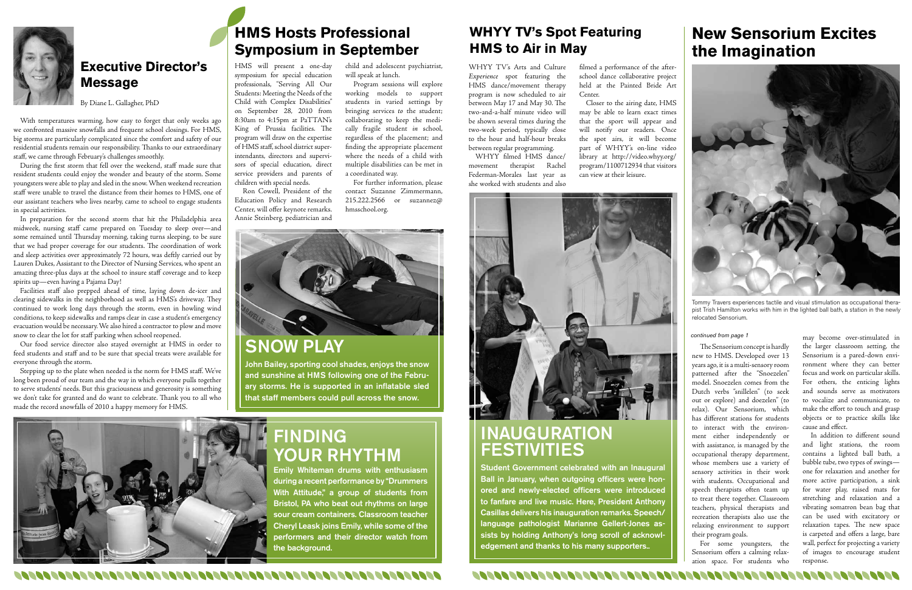SNOW PLAY

John Bailey, sporting cool shades, enjoys the snow and sunshine at HMS following one of the February storms. He is supported in an inflatable sled that staff members could pull across the snow.



## **INAUGURATION** FESTIVITIES

Student Government celebrated with an Inaugural Ball in January, when outgoing officers were honored and newly-elected officers were introduced to fanfare and live music. Here, President Anthony Casillas delivers his inauguration remarks. Speech/ language pathologist Marianne Gellert-Jones assists by holding Anthony's long scroll of acknowledgement and thanks to his many supporters..

# FINDING YOUR RHYTHM

Emily Whiteman drums with enthusiasm during a recent performance by "Drummers With Attitude," a group of students from Bristol, PA who beat out rhythms on large sour cream containers. Classroom teacher Cheryl Leask joins Emily, while some of the performers and their director watch from the background.



#### **Executive Director's Message**

By Diane L. Gallagher, PhD

With temperatures warming, how easy to forget that only weeks ago we confronted massive snowfalls and frequent school closings. For HMS, big storms are particularly complicated since the comfort and safety of our residential students remain our responsibility. Thanks to our extraordinary staff, we came through February's challenges smoothly.

During the first storm that fell over the weekend, staff made sure that resident students could enjoy the wonder and beauty of the storm. Some youngsters were able to play and sled in the snow. When weekend recreation staff were unable to travel the distance from their homes to HMS, one of our assistant teachers who lives nearby, came to school to engage students in special activities.

In preparation for the second storm that hit the Philadelphia area midweek, nursing staff came prepared on Tuesday to sleep over—and some remained until Thursday morning, taking turns sleeping, to be sure that we had proper coverage for our students. The coordination of work and sleep activities over approximately 72 hours, was deftly carried out by Lauren Dukes, Assistant to the Director of Nursing Services, who spent an amazing three-plus days at the school to insure staff coverage and to keep spirits up—even having a Pajama Day!

Facilities staff also prepped ahead of time, laying down de-icer and clearing sidewalks in the neighborhood as well as HMS's driveway. They continued to work long days through the storm, even in howling wind conditions, to keep sidewalks and ramps clear in case a student's emergency evacuation would be necessary. We also hired a contractor to plow and move snow to clear the lot for staff parking when school reopened.

Our food service director also stayed overnight at HMS in order to feed students and staff and to be sure that special treats were available for everyone through the storm.

Stepping up to the plate when needed is the norm for HMS staff. We've long been proud of our team and the way in which everyone pulls together to serve students' needs. But this graciousness and generosity is something we don't take for granted and do want to celebrate. Thank you to all who made the record snowfalls of 2010 a happy memory for HMS.

WHYY TV's Arts and Culture *Experience* spot featuring the HMS dance/movement therapy program is now scheduled to air between May 17 and May 30. The two-and-a-half minute video will be shown several times during the two-week period, typically close to the hour and half-hour breaks between regular programming.



Tommy Travers experiences tactile and visual stimulation as occupational therapist Trish Hamilton works with him in the lighted ball bath, a station in the newly .<br>relocated Sensorium.

WHYY filmed HMS dance/ movement therapist Rachel Federman-Morales last year as she worked with students and also

filmed a performance of the afterschool dance collaborative project held at the Painted Bride Art Center.

Closer to the airing date, HMS may be able to learn exact times that the sport will appear and will notify our readers. Once the spot airs, it will become part of WHYY's on-line video library at http://video.whyy.org/ program/1100712934 that visitors can view at their leisure.



### **HMS Hosts Professional Symposium in September**

HMS will present a one-day symposium for special education professionals, "Serving All Our Students: Meeting the Needs of the Child with Complex Disabilities" on September 28, 2010 from 8:30am to 4:15pm at PaTTAN's King of Prussia facilities. The program will draw on the expertise of HMS staff, school district superintendants, directors and supervisors of special education, direct service providers and parents of children with special needs.

Ron Cowell, President of the Education Policy and Research Center, will offer keynote remarks. Annie Steinberg, pediatrician and

child and adolescent psychiatrist, will speak at lunch.

Program sessions will explore working models to support students in varied settings by bringing services *to* the student; collaborating to keep the medically fragile student *in* school, regardless of the placement; and finding the appropriate placement where the needs of a child with multiple disabilities can be met in a coordinated way.

For further information, please contact Suzanne Zimmermann, 215.222.2566 or suzannez@ hmsschool.org.



#### **WHYY TV's Spot Featuring HMS to Air in May**

The Sensorium concept is hardly new to HMS. Developed over 13 years ago, it is a multi-sensory room patterned after the "Snoezelen" model. Snoezelen comes from the Dutch verbs "snillelen" (to seek out or explore) and doezelen" (to relax). Our Sensorium, which has different stations for students to interact with the environment either independently or with assistance, is managed by the occupational therapy department, whose members use a variety of sensory activities in their work with students. Occupational and speech therapists often team up to treat there together. Classroom teachers, physical therapists and recreation therapists also use the relaxing environment to support their program goals.

For some youngsters, the Sensorium offers a calming relaxation space. For students who

may become over-stimulated in the larger classroom setting, the Sensorium is a pared-down environment where they can better focus and work on particular skills. For others, the enticing lights and sounds serve as motivators to vocalize and communicate, to make the effort to touch and grasp objects or to practice skills like cause and effect.

In addition to different sound and light stations, the room contains a lighted ball bath, a bubble tube, two types of swings one for relaxation and another for more active participation, a sink for water play, raised mats for stretching and relaxation and a vibrating somatron bean bag that can be used with excitatory or relaxation tapes. The new space is carpeted and offers a large, bare wall, perfect for projecting a variety of images to encourage student response.

<u> A SAN SAN SAN SAN S</u>

### **New Sensorium Excites the Imagination**

#### *continued from page 1*